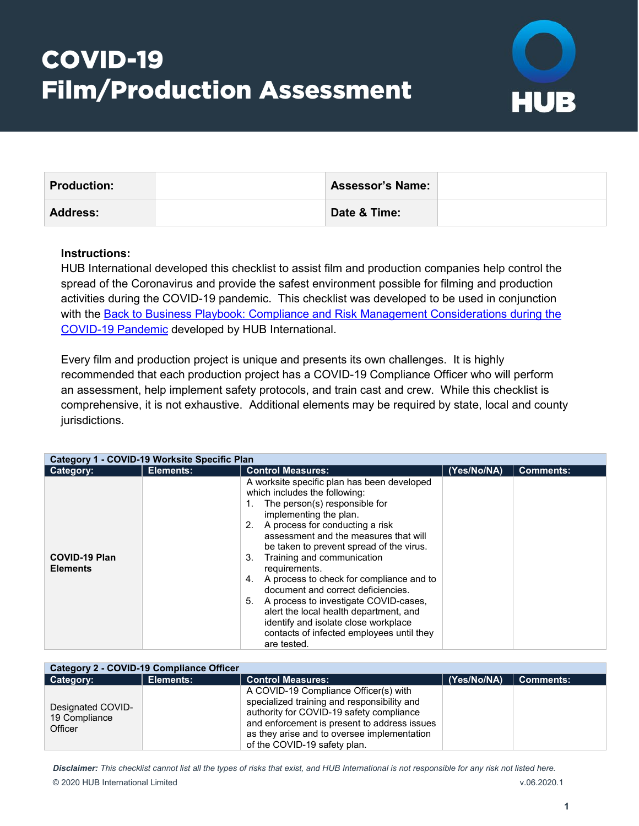## COVID-19 Film/Production Assessment



| <b>Production:</b> | <b>Assessor's Name:</b> |  |
|--------------------|-------------------------|--|
| <b>Address:</b>    | Date & Time:            |  |

## **Instructions:**

HUB International developed this checklist to assist film and production companies help control the spread of the Coronavirus and provide the safest environment possible for filming and production activities during the COVID-19 pandemic. This checklist was developed to be used in conjunction with the [Back to Business Playbook: Compliance and Risk Management Considerations during the](https://www.hubinternational.com/blog/2020/05/back-to-business-playbook-ebook/)  [COVID-19 Pandemic](https://www.hubinternational.com/blog/2020/05/back-to-business-playbook-ebook/) developed by HUB International.

Every film and production project is unique and presents its own challenges. It is highly recommended that each production project has a COVID-19 Compliance Officer who will perform an assessment, help implement safety protocols, and train cast and crew. While this checklist is comprehensive, it is not exhaustive. Additional elements may be required by state, local and county jurisdictions.

| Category 1 - COVID-19 Worksite Specific Plan |           |                                                                                                                                                                                                                                                                                                                                                                                                                                                                                                                                                                                                                    |             |                  |
|----------------------------------------------|-----------|--------------------------------------------------------------------------------------------------------------------------------------------------------------------------------------------------------------------------------------------------------------------------------------------------------------------------------------------------------------------------------------------------------------------------------------------------------------------------------------------------------------------------------------------------------------------------------------------------------------------|-------------|------------------|
| Category:                                    | Elements: | <b>Control Measures:</b>                                                                                                                                                                                                                                                                                                                                                                                                                                                                                                                                                                                           | (Yes/No/NA) | <b>Comments:</b> |
| <b>COVID-19 Plan</b><br><b>Elements</b>      |           | A worksite specific plan has been developed<br>which includes the following:<br>The person(s) responsible for<br>1.<br>implementing the plan.<br>2. A process for conducting a risk<br>assessment and the measures that will<br>be taken to prevent spread of the virus.<br>Training and communication<br>3.<br>requirements.<br>A process to check for compliance and to<br>4.<br>document and correct deficiencies.<br>5.<br>A process to investigate COVID-cases,<br>alert the local health department, and<br>identify and isolate close workplace<br>contacts of infected employees until they<br>are tested. |             |                  |

| Category 2 - COVID-19 Compliance Officer      |           |                                                                                                                                                                                                                                                                 |             |                  |
|-----------------------------------------------|-----------|-----------------------------------------------------------------------------------------------------------------------------------------------------------------------------------------------------------------------------------------------------------------|-------------|------------------|
| Category:                                     | Elements: | <b>Control Measures:</b>                                                                                                                                                                                                                                        | (Yes/No/NA) | <b>Comments:</b> |
| Designated COVID-<br>19 Compliance<br>Officer |           | A COVID-19 Compliance Officer(s) with<br>specialized training and responsibility and<br>authority for COVID-19 safety compliance<br>and enforcement is present to address issues<br>as they arise and to oversee implementation<br>of the COVID-19 safety plan. |             |                  |

*Disclaimer: This checklist cannot list all the types of risks that exist, and HUB International is not responsible for any risk not listed here.* © 2020 HUB International Limited v.06.2020.1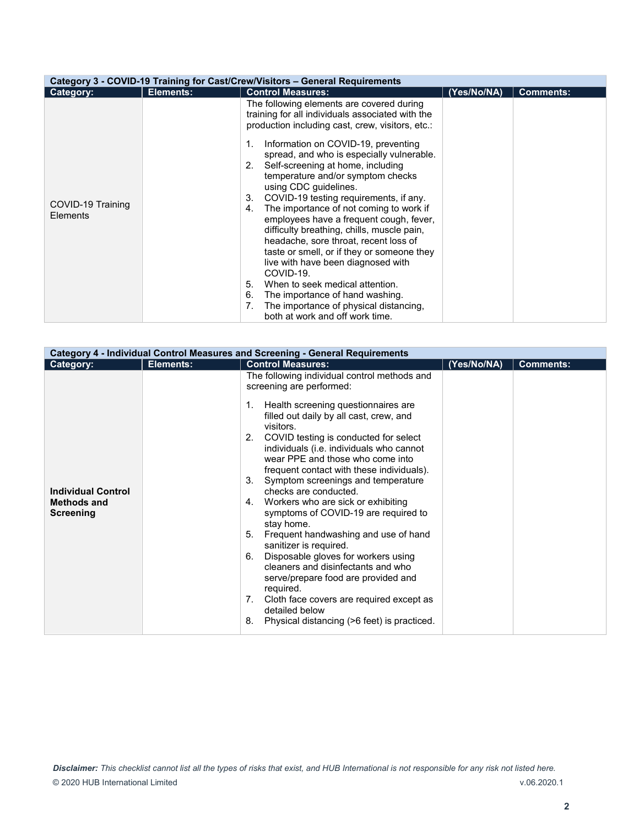| Category 3 - COVID-19 Training for Cast/Crew/Visitors - General Requirements |           |                                                                                                                                                                                                                                                                                                                                                                                                                                                                                                                                                                                                                                                                                                                                                                                                                                                               |             |                  |
|------------------------------------------------------------------------------|-----------|---------------------------------------------------------------------------------------------------------------------------------------------------------------------------------------------------------------------------------------------------------------------------------------------------------------------------------------------------------------------------------------------------------------------------------------------------------------------------------------------------------------------------------------------------------------------------------------------------------------------------------------------------------------------------------------------------------------------------------------------------------------------------------------------------------------------------------------------------------------|-------------|------------------|
| Category:                                                                    | Elements: | <b>Control Measures:</b>                                                                                                                                                                                                                                                                                                                                                                                                                                                                                                                                                                                                                                                                                                                                                                                                                                      | (Yes/No/NA) | <b>Comments:</b> |
| COVID-19 Training<br><b>Elements</b>                                         |           | The following elements are covered during<br>training for all individuals associated with the<br>production including cast, crew, visitors, etc.:<br>Information on COVID-19, preventing<br>1.<br>spread, and who is especially vulnerable.<br>Self-screening at home, including<br>2.<br>temperature and/or symptom checks<br>using CDC guidelines.<br>COVID-19 testing requirements, if any.<br>3.<br>The importance of not coming to work if<br>4.<br>employees have a frequent cough, fever,<br>difficulty breathing, chills, muscle pain,<br>headache, sore throat, recent loss of<br>taste or smell, or if they or someone they<br>live with have been diagnosed with<br>COVID-19.<br>5.<br>When to seek medical attention.<br>6.<br>The importance of hand washing.<br>The importance of physical distancing,<br>7.<br>both at work and off work time. |             |                  |

| <b>Category 4 - Individual Control Measures and Screening - General Requirements</b> |           |                                                                                                                                                                                                                                                                                                                                                                                                                                                                                                                                                                                                                                                                                                                                                                                                                                                           |             |                  |
|--------------------------------------------------------------------------------------|-----------|-----------------------------------------------------------------------------------------------------------------------------------------------------------------------------------------------------------------------------------------------------------------------------------------------------------------------------------------------------------------------------------------------------------------------------------------------------------------------------------------------------------------------------------------------------------------------------------------------------------------------------------------------------------------------------------------------------------------------------------------------------------------------------------------------------------------------------------------------------------|-------------|------------------|
| Category:                                                                            | Elements: | <b>Control Measures:</b>                                                                                                                                                                                                                                                                                                                                                                                                                                                                                                                                                                                                                                                                                                                                                                                                                                  | (Yes/No/NA) | <b>Comments:</b> |
| <b>Individual Control</b><br><b>Methods and</b><br><b>Screening</b>                  |           | The following individual control methods and<br>screening are performed:<br>1. Health screening questionnaires are<br>filled out daily by all cast, crew, and<br>visitors.<br>2. COVID testing is conducted for select<br>individuals (i.e. individuals who cannot<br>wear PPE and those who come into<br>frequent contact with these individuals).<br>3. Symptom screenings and temperature<br>checks are conducted.<br>4. Workers who are sick or exhibiting<br>symptoms of COVID-19 are required to<br>stay home.<br>Frequent handwashing and use of hand<br>5.<br>sanitizer is required.<br>Disposable gloves for workers using<br>6.<br>cleaners and disinfectants and who<br>serve/prepare food are provided and<br>required.<br>7. Cloth face covers are required except as<br>detailed below<br>Physical distancing (>6 feet) is practiced.<br>8. |             |                  |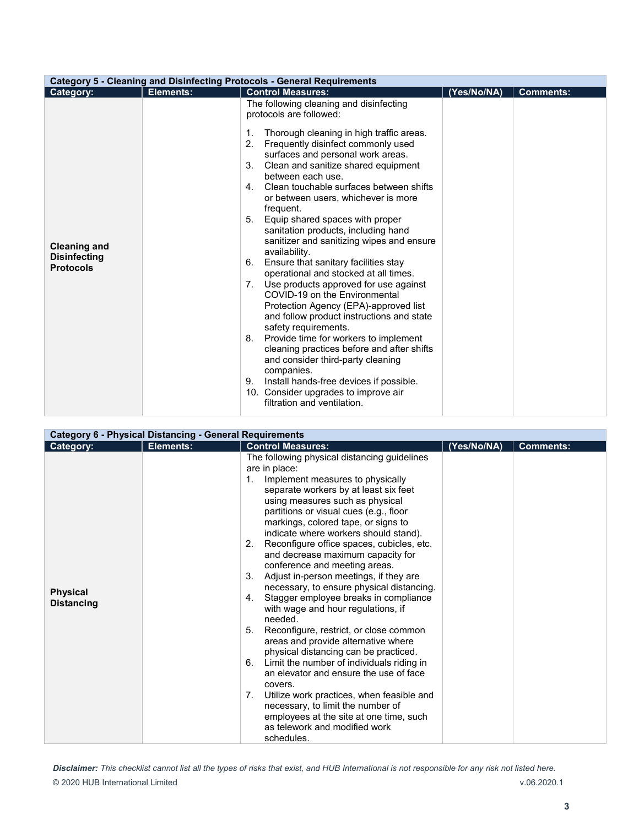| <b>Category 5 - Cleaning and Disinfecting Protocols - General Requirements</b>                                                                                                                                                                                                                                                                                                                                                                                                                                                                                                                                                                                                                                                                                                                                                                                                                                                                                                                                                                                                                                    |                  |  |  |  |
|-------------------------------------------------------------------------------------------------------------------------------------------------------------------------------------------------------------------------------------------------------------------------------------------------------------------------------------------------------------------------------------------------------------------------------------------------------------------------------------------------------------------------------------------------------------------------------------------------------------------------------------------------------------------------------------------------------------------------------------------------------------------------------------------------------------------------------------------------------------------------------------------------------------------------------------------------------------------------------------------------------------------------------------------------------------------------------------------------------------------|------------------|--|--|--|
| <b>Control Measures:</b><br><b>Elements:</b><br>(Yes/No/NA)<br>Category:                                                                                                                                                                                                                                                                                                                                                                                                                                                                                                                                                                                                                                                                                                                                                                                                                                                                                                                                                                                                                                          | <b>Comments:</b> |  |  |  |
| The following cleaning and disinfecting<br>protocols are followed:<br>Thorough cleaning in high traffic areas.<br>1.<br>2.<br>Frequently disinfect commonly used<br>surfaces and personal work areas.<br>Clean and sanitize shared equipment<br>3.<br>between each use.<br>Clean touchable surfaces between shifts<br>4.<br>or between users, whichever is more<br>frequent.<br>5. Equip shared spaces with proper<br>sanitation products, including hand<br>sanitizer and sanitizing wipes and ensure<br><b>Cleaning and</b><br>availability.<br><b>Disinfecting</b><br>Ensure that sanitary facilities stay<br>6.<br><b>Protocols</b><br>operational and stocked at all times.<br>7. Use products approved for use against<br>COVID-19 on the Environmental<br>Protection Agency (EPA)-approved list<br>and follow product instructions and state<br>safety requirements.<br>8. Provide time for workers to implement<br>cleaning practices before and after shifts<br>and consider third-party cleaning<br>companies.<br>Install hands-free devices if possible.<br>9.<br>10. Consider upgrades to improve air |                  |  |  |  |
| filtration and ventilation.                                                                                                                                                                                                                                                                                                                                                                                                                                                                                                                                                                                                                                                                                                                                                                                                                                                                                                                                                                                                                                                                                       |                  |  |  |  |

|                                      | <b>Category 6 - Physical Distancing - General Requirements</b> |                                                                                                                                                                                                                                                                                                                                                                                                                                                                                                                                                                                                                                                                                                                                                                                                                                                                                                                                                                                                                                                         |             |                  |  |
|--------------------------------------|----------------------------------------------------------------|---------------------------------------------------------------------------------------------------------------------------------------------------------------------------------------------------------------------------------------------------------------------------------------------------------------------------------------------------------------------------------------------------------------------------------------------------------------------------------------------------------------------------------------------------------------------------------------------------------------------------------------------------------------------------------------------------------------------------------------------------------------------------------------------------------------------------------------------------------------------------------------------------------------------------------------------------------------------------------------------------------------------------------------------------------|-------------|------------------|--|
| Category:                            | Elements:                                                      | <b>Control Measures:</b>                                                                                                                                                                                                                                                                                                                                                                                                                                                                                                                                                                                                                                                                                                                                                                                                                                                                                                                                                                                                                                | (Yes/No/NA) | <b>Comments:</b> |  |
| <b>Physical</b><br><b>Distancing</b> |                                                                | The following physical distancing guidelines<br>are in place:<br>Implement measures to physically<br>1.<br>separate workers by at least six feet<br>using measures such as physical<br>partitions or visual cues (e.g., floor<br>markings, colored tape, or signs to<br>indicate where workers should stand).<br>Reconfigure office spaces, cubicles, etc.<br>2.<br>and decrease maximum capacity for<br>conference and meeting areas.<br>Adjust in-person meetings, if they are<br>3.<br>necessary, to ensure physical distancing.<br>4. Stagger employee breaks in compliance<br>with wage and hour regulations, if<br>needed.<br>5. Reconfigure, restrict, or close common<br>areas and provide alternative where<br>physical distancing can be practiced.<br>Limit the number of individuals riding in<br>6.<br>an elevator and ensure the use of face<br>covers.<br>Utilize work practices, when feasible and<br>7.<br>necessary, to limit the number of<br>employees at the site at one time, such<br>as telework and modified work<br>schedules. |             |                  |  |

*Disclaimer: This checklist cannot list all the types of risks that exist, and HUB International is not responsible for any risk not listed here.* © 2020 HUB International Limited v.06.2020.1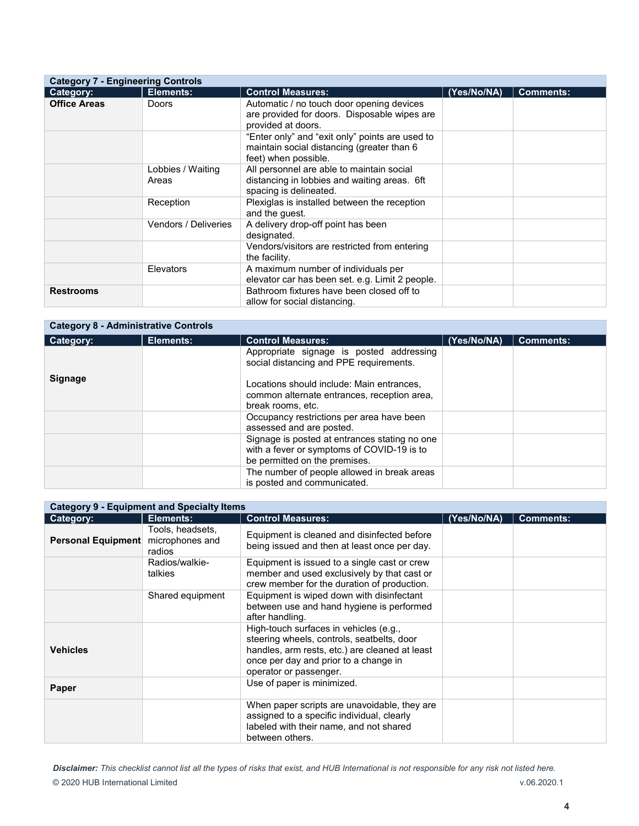|                     | <b>Category 7 - Engineering Controls</b> |                                                                                                                       |             |                  |  |
|---------------------|------------------------------------------|-----------------------------------------------------------------------------------------------------------------------|-------------|------------------|--|
| Category:           | Elements:                                | <b>Control Measures:</b>                                                                                              | (Yes/No/NA) | <b>Comments:</b> |  |
| <b>Office Areas</b> | Doors                                    | Automatic / no touch door opening devices<br>are provided for doors. Disposable wipes are<br>provided at doors.       |             |                  |  |
|                     |                                          | "Enter only" and "exit only" points are used to<br>maintain social distancing (greater than 6<br>feet) when possible. |             |                  |  |
|                     | Lobbies / Waiting<br>Areas               | All personnel are able to maintain social<br>distancing in lobbies and waiting areas. 6ft<br>spacing is delineated.   |             |                  |  |
|                     | Reception                                | Plexiglas is installed between the reception<br>and the guest.                                                        |             |                  |  |
|                     | <b>Vendors / Deliveries</b>              | A delivery drop-off point has been<br>designated.                                                                     |             |                  |  |
|                     |                                          | Vendors/visitors are restricted from entering<br>the facility.                                                        |             |                  |  |
|                     | Elevators                                | A maximum number of individuals per<br>elevator car has been set. e.g. Limit 2 people.                                |             |                  |  |
| <b>Restrooms</b>    |                                          | Bathroom fixtures have been closed off to<br>allow for social distancing.                                             |             |                  |  |

|                | <b>Category 8 - Administrative Controls</b> |                                                                                             |             |                  |  |  |
|----------------|---------------------------------------------|---------------------------------------------------------------------------------------------|-------------|------------------|--|--|
| Category:      | Elements:                                   | <b>Control Measures:</b>                                                                    | (Yes/No/NA) | <b>Comments:</b> |  |  |
|                |                                             | Appropriate signage is posted addressing<br>social distancing and PPE requirements.         |             |                  |  |  |
| <b>Signage</b> |                                             | Locations should include: Main entrances,<br>common alternate entrances, reception area,    |             |                  |  |  |
|                |                                             | break rooms, etc.                                                                           |             |                  |  |  |
|                |                                             | Occupancy restrictions per area have been<br>assessed and are posted.                       |             |                  |  |  |
|                |                                             | Signage is posted at entrances stating no one<br>with a fever or symptoms of COVID-19 is to |             |                  |  |  |
|                |                                             | be permitted on the premises.                                                               |             |                  |  |  |
|                |                                             | The number of people allowed in break areas                                                 |             |                  |  |  |
|                |                                             | is posted and communicated.                                                                 |             |                  |  |  |

| <b>Category 9 - Equipment and Specialty Items</b> |                                               |                                                                                                                                                                                                           |             |                  |
|---------------------------------------------------|-----------------------------------------------|-----------------------------------------------------------------------------------------------------------------------------------------------------------------------------------------------------------|-------------|------------------|
| Category:                                         | Elements:                                     | <b>Control Measures:</b>                                                                                                                                                                                  | (Yes/No/NA) | <b>Comments:</b> |
| <b>Personal Equipment</b>                         | Tools, headsets,<br>microphones and<br>radios | Equipment is cleaned and disinfected before<br>being issued and then at least once per day.                                                                                                               |             |                  |
|                                                   | Radios/walkie-<br>talkies                     | Equipment is issued to a single cast or crew<br>member and used exclusively by that cast or<br>crew member for the duration of production.                                                                |             |                  |
|                                                   | Shared equipment                              | Equipment is wiped down with disinfectant<br>between use and hand hygiene is performed<br>after handling.                                                                                                 |             |                  |
| <b>Vehicles</b>                                   |                                               | High-touch surfaces in vehicles (e.g.,<br>steering wheels, controls, seatbelts, door<br>handles, arm rests, etc.) are cleaned at least<br>once per day and prior to a change in<br>operator or passenger. |             |                  |
| Paper                                             |                                               | Use of paper is minimized.                                                                                                                                                                                |             |                  |
|                                                   |                                               | When paper scripts are unavoidable, they are<br>assigned to a specific individual, clearly<br>labeled with their name, and not shared<br>between others.                                                  |             |                  |

*Disclaimer: This checklist cannot list all the types of risks that exist, and HUB International is not responsible for any risk not listed here.* © 2020 HUB International Limited v.06.2020.1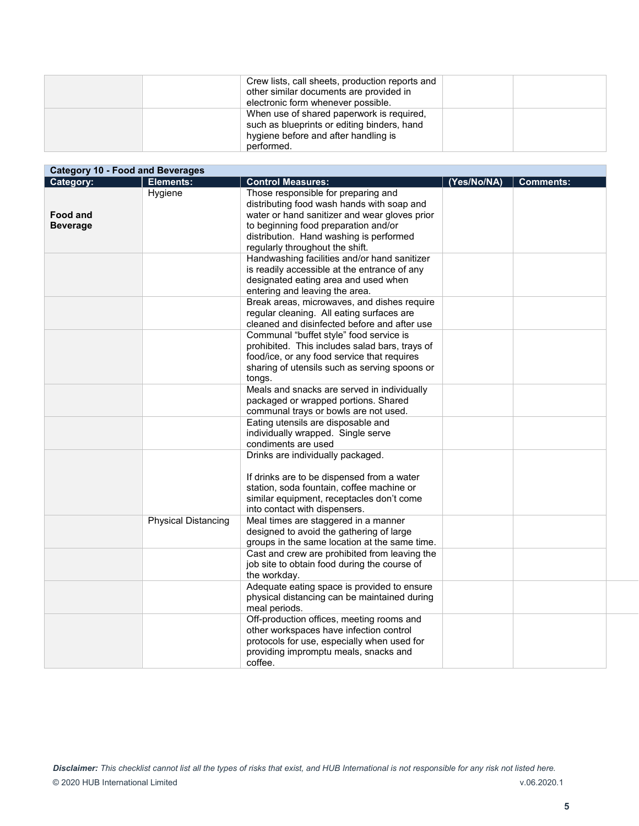| Crew lists, call sheets, production reports and<br>other similar documents are provided in<br>electronic form whenever possible.               |  |
|------------------------------------------------------------------------------------------------------------------------------------------------|--|
| When use of shared paperwork is required,<br>such as blueprints or editing binders, hand<br>hygiene before and after handling is<br>performed. |  |

| Category:       | <b>Category 10 - Food and Beverages</b><br>Elements: | <b>Control Measures:</b>                       | (Yes/No/NA) | <b>Comments:</b> |
|-----------------|------------------------------------------------------|------------------------------------------------|-------------|------------------|
|                 | Hygiene                                              | Those responsible for preparing and            |             |                  |
|                 |                                                      | distributing food wash hands with soap and     |             |                  |
| <b>Food and</b> |                                                      | water or hand sanitizer and wear gloves prior  |             |                  |
| <b>Beverage</b> |                                                      | to beginning food preparation and/or           |             |                  |
|                 |                                                      | distribution. Hand washing is performed        |             |                  |
|                 |                                                      | regularly throughout the shift.                |             |                  |
|                 |                                                      | Handwashing facilities and/or hand sanitizer   |             |                  |
|                 |                                                      | is readily accessible at the entrance of any   |             |                  |
|                 |                                                      | designated eating area and used when           |             |                  |
|                 |                                                      | entering and leaving the area.                 |             |                  |
|                 |                                                      | Break areas, microwaves, and dishes require    |             |                  |
|                 |                                                      | regular cleaning. All eating surfaces are      |             |                  |
|                 |                                                      | cleaned and disinfected before and after use   |             |                  |
|                 |                                                      |                                                |             |                  |
|                 |                                                      | Communal "buffet style" food service is        |             |                  |
|                 |                                                      | prohibited. This includes salad bars, trays of |             |                  |
|                 |                                                      | food/ice, or any food service that requires    |             |                  |
|                 |                                                      | sharing of utensils such as serving spoons or  |             |                  |
|                 |                                                      | tongs.                                         |             |                  |
|                 |                                                      | Meals and snacks are served in individually    |             |                  |
|                 |                                                      | packaged or wrapped portions. Shared           |             |                  |
|                 |                                                      | communal trays or bowls are not used.          |             |                  |
|                 |                                                      | Eating utensils are disposable and             |             |                  |
|                 |                                                      | individually wrapped. Single serve             |             |                  |
|                 |                                                      | condiments are used                            |             |                  |
|                 |                                                      | Drinks are individually packaged.              |             |                  |
|                 |                                                      |                                                |             |                  |
|                 |                                                      | If drinks are to be dispensed from a water     |             |                  |
|                 |                                                      | station, soda fountain, coffee machine or      |             |                  |
|                 |                                                      | similar equipment, receptacles don't come      |             |                  |
|                 |                                                      | into contact with dispensers.                  |             |                  |
|                 | <b>Physical Distancing</b>                           | Meal times are staggered in a manner           |             |                  |
|                 |                                                      | designed to avoid the gathering of large       |             |                  |
|                 |                                                      | groups in the same location at the same time.  |             |                  |
|                 |                                                      | Cast and crew are prohibited from leaving the  |             |                  |
|                 |                                                      | job site to obtain food during the course of   |             |                  |
|                 |                                                      | the workday.                                   |             |                  |
|                 |                                                      | Adequate eating space is provided to ensure    |             |                  |
|                 |                                                      | physical distancing can be maintained during   |             |                  |
|                 |                                                      | meal periods.                                  |             |                  |
|                 |                                                      | Off-production offices, meeting rooms and      |             |                  |
|                 |                                                      | other workspaces have infection control        |             |                  |
|                 |                                                      | protocols for use, especially when used for    |             |                  |
|                 |                                                      | providing impromptu meals, snacks and          |             |                  |
|                 |                                                      | coffee.                                        |             |                  |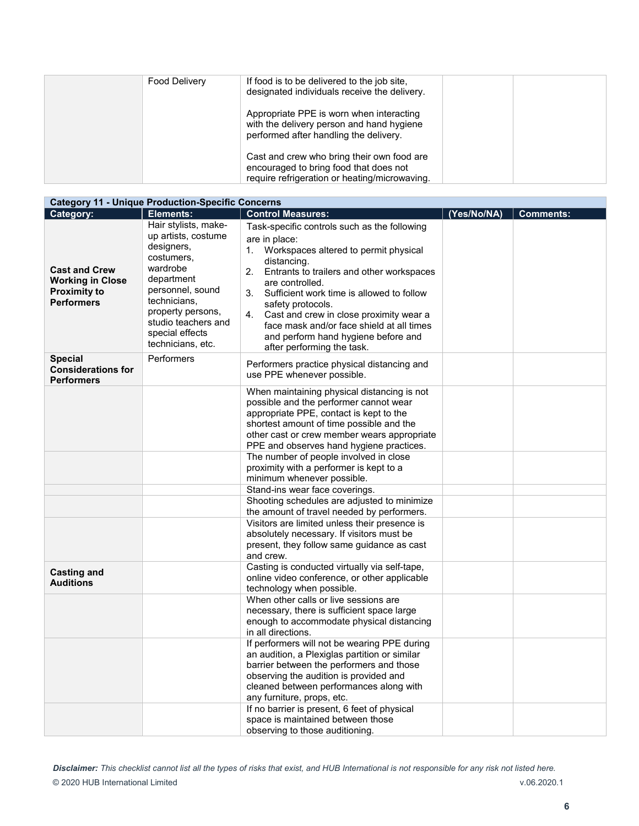| Food Delivery | If food is to be delivered to the job site.<br>designated individuals receive the delivery.                                           |
|---------------|---------------------------------------------------------------------------------------------------------------------------------------|
|               | Appropriate PPE is worn when interacting<br>with the delivery person and hand hygiene<br>performed after handling the delivery.       |
|               | Cast and crew who bring their own food are<br>encouraged to bring food that does not<br>require refrigeration or heating/microwaving. |

| <b>Category 11 - Unique Production-Specific Concerns</b>                                    |                                                                                                                                                                                                                           |                                                                                                                                                                                                                                                                                                                                                                                                                                           |             |                  |
|---------------------------------------------------------------------------------------------|---------------------------------------------------------------------------------------------------------------------------------------------------------------------------------------------------------------------------|-------------------------------------------------------------------------------------------------------------------------------------------------------------------------------------------------------------------------------------------------------------------------------------------------------------------------------------------------------------------------------------------------------------------------------------------|-------------|------------------|
| Category:                                                                                   | Elements:                                                                                                                                                                                                                 | <b>Control Measures:</b>                                                                                                                                                                                                                                                                                                                                                                                                                  | (Yes/No/NA) | <b>Comments:</b> |
| <b>Cast and Crew</b><br><b>Working in Close</b><br><b>Proximity to</b><br><b>Performers</b> | Hair stylists, make-<br>up artists, costume<br>designers,<br>costumers.<br>wardrobe<br>department<br>personnel, sound<br>technicians,<br>property persons,<br>studio teachers and<br>special effects<br>technicians, etc. | Task-specific controls such as the following<br>are in place:<br>1. Workspaces altered to permit physical<br>distancing.<br>2.<br>Entrants to trailers and other workspaces<br>are controlled.<br>Sufficient work time is allowed to follow<br>3.<br>safety protocols.<br>Cast and crew in close proximity wear a<br>4.<br>face mask and/or face shield at all times<br>and perform hand hygiene before and<br>after performing the task. |             |                  |
| <b>Special</b><br><b>Considerations for</b><br><b>Performers</b>                            | Performers                                                                                                                                                                                                                | Performers practice physical distancing and<br>use PPE whenever possible.                                                                                                                                                                                                                                                                                                                                                                 |             |                  |
|                                                                                             |                                                                                                                                                                                                                           | When maintaining physical distancing is not<br>possible and the performer cannot wear<br>appropriate PPE, contact is kept to the<br>shortest amount of time possible and the<br>other cast or crew member wears appropriate<br>PPE and observes hand hygiene practices.                                                                                                                                                                   |             |                  |
|                                                                                             |                                                                                                                                                                                                                           | The number of people involved in close<br>proximity with a performer is kept to a<br>minimum whenever possible.                                                                                                                                                                                                                                                                                                                           |             |                  |
|                                                                                             |                                                                                                                                                                                                                           | Stand-ins wear face coverings.<br>Shooting schedules are adjusted to minimize                                                                                                                                                                                                                                                                                                                                                             |             |                  |
|                                                                                             |                                                                                                                                                                                                                           | the amount of travel needed by performers.                                                                                                                                                                                                                                                                                                                                                                                                |             |                  |
|                                                                                             |                                                                                                                                                                                                                           | Visitors are limited unless their presence is<br>absolutely necessary. If visitors must be<br>present, they follow same guidance as cast<br>and crew.                                                                                                                                                                                                                                                                                     |             |                  |
| <b>Casting and</b><br><b>Auditions</b>                                                      |                                                                                                                                                                                                                           | Casting is conducted virtually via self-tape,<br>online video conference, or other applicable<br>technology when possible.                                                                                                                                                                                                                                                                                                                |             |                  |
|                                                                                             |                                                                                                                                                                                                                           | When other calls or live sessions are<br>necessary, there is sufficient space large<br>enough to accommodate physical distancing<br>in all directions.                                                                                                                                                                                                                                                                                    |             |                  |
|                                                                                             |                                                                                                                                                                                                                           | If performers will not be wearing PPE during<br>an audition, a Plexiglas partition or similar<br>barrier between the performers and those<br>observing the audition is provided and<br>cleaned between performances along with<br>any furniture, props, etc.<br>If no barrier is present, 6 feet of physical                                                                                                                              |             |                  |
|                                                                                             |                                                                                                                                                                                                                           | space is maintained between those<br>observing to those auditioning.                                                                                                                                                                                                                                                                                                                                                                      |             |                  |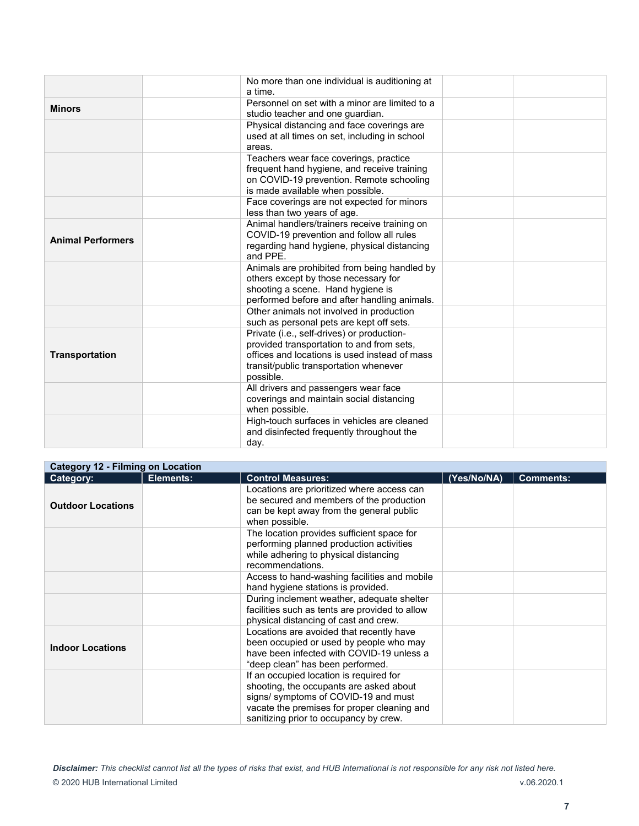|                          | No more than one individual is auditioning at<br>a time.                                                                                                                                        |  |
|--------------------------|-------------------------------------------------------------------------------------------------------------------------------------------------------------------------------------------------|--|
| <b>Minors</b>            | Personnel on set with a minor are limited to a<br>studio teacher and one guardian.                                                                                                              |  |
|                          | Physical distancing and face coverings are<br>used at all times on set, including in school<br>areas.                                                                                           |  |
|                          | Teachers wear face coverings, practice<br>frequent hand hygiene, and receive training<br>on COVID-19 prevention. Remote schooling<br>is made available when possible.                           |  |
|                          | Face coverings are not expected for minors<br>less than two years of age.                                                                                                                       |  |
| <b>Animal Performers</b> | Animal handlers/trainers receive training on<br>COVID-19 prevention and follow all rules<br>regarding hand hygiene, physical distancing<br>and PPF.                                             |  |
|                          | Animals are prohibited from being handled by<br>others except by those necessary for<br>shooting a scene. Hand hygiene is<br>performed before and after handling animals.                       |  |
|                          | Other animals not involved in production<br>such as personal pets are kept off sets.                                                                                                            |  |
| <b>Transportation</b>    | Private (i.e., self-drives) or production-<br>provided transportation to and from sets,<br>offices and locations is used instead of mass<br>transit/public transportation whenever<br>possible. |  |
|                          | All drivers and passengers wear face<br>coverings and maintain social distancing<br>when possible.                                                                                              |  |
|                          | High-touch surfaces in vehicles are cleaned<br>and disinfected frequently throughout the<br>day.                                                                                                |  |

| <b>Category 12 - Filming on Location</b> |           |                                                                                                                                                                                                                    |             |                  |
|------------------------------------------|-----------|--------------------------------------------------------------------------------------------------------------------------------------------------------------------------------------------------------------------|-------------|------------------|
| Category:                                | Elements: | <b>Control Measures:</b>                                                                                                                                                                                           | (Yes/No/NA) | <b>Comments:</b> |
| <b>Outdoor Locations</b>                 |           | Locations are prioritized where access can<br>be secured and members of the production<br>can be kept away from the general public<br>when possible.                                                               |             |                  |
|                                          |           | The location provides sufficient space for<br>performing planned production activities<br>while adhering to physical distancing<br>recommendations.                                                                |             |                  |
|                                          |           | Access to hand-washing facilities and mobile<br>hand hygiene stations is provided.                                                                                                                                 |             |                  |
|                                          |           | During inclement weather, adequate shelter<br>facilities such as tents are provided to allow<br>physical distancing of cast and crew.                                                                              |             |                  |
| <b>Indoor Locations</b>                  |           | Locations are avoided that recently have<br>been occupied or used by people who may<br>have been infected with COVID-19 unless a<br>"deep clean" has been performed.                                               |             |                  |
|                                          |           | If an occupied location is required for<br>shooting, the occupants are asked about<br>signs/symptoms of COVID-19 and must<br>vacate the premises for proper cleaning and<br>sanitizing prior to occupancy by crew. |             |                  |